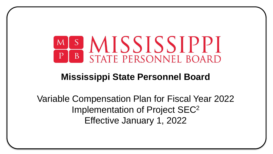

#### **Mississippi State Personnel Board**

Variable Compensation Plan for Fiscal Year 2022 Implementation of Project SEC<sup>2</sup> Effective January 1, 2022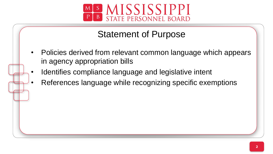

#### Statement of Purpose

- Policies derived from relevant common language which appears in agency appropriation bills
- Identifies compliance language and legislative intent
- References language while recognizing specific exemptions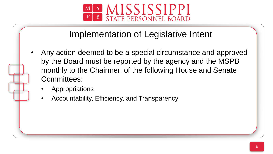

#### Implementation of Legislative Intent

- Any action deemed to be a special circumstance and approved by the Board must be reported by the agency and the MSPB monthly to the Chairmen of the following House and Senate Committees:
	- **Appropriations**
	- Accountability, Efficiency, and Transparency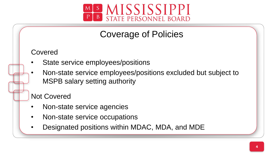

#### Coverage of Policies

Covered

- State service employees/positions
- Non-state service employees/positions excluded but subject to MSPB salary setting authority

Not Covered

- Non-state service agencies
- Non-state service occupations
- Designated positions within MDAC, MDA, and MDE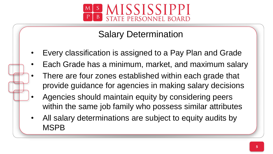

## Salary Determination

- Every classification is assigned to a Pay Plan and Grade
- Each Grade has a minimum, market, and maximum salary
- ç There are four zones established within each grade that provide guidance for agencies in making salary decisions
- Agencies should maintain equity by considering peers within the same job family who possess similar attributes
- All salary determinations are subject to equity audits by MSPB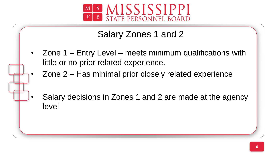

## Salary Zones 1 and 2

- Zone 1 Entry Level meets minimum qualifications with little or no prior related experience.
	- Zone 2 Has minimal prior closely related experience
	- Salary decisions in Zones 1 and 2 are made at the agency level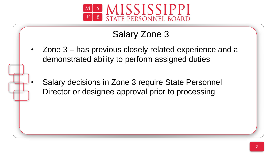

# Salary Zone 3

- Zone 3 has previous closely related experience and a demonstrated ability to perform assigned duties
- Salary decisions in Zone 3 require State Personnel Director or designee approval prior to processing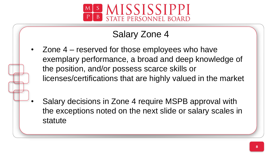

# Salary Zone 4

- licenses/certifications that are highly valued in the market • Zone 4 – reserved for those employees who have exemplary performance, a broad and deep knowledge of the position, and/or possess scarce skills or
- Salary decisions in Zone 4 require MSPB approval with the exceptions noted on the next slide or salary scales in statute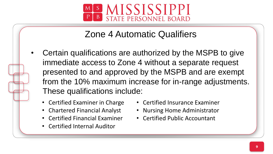

## Zone 4 Automatic Qualifiers

- from the 10% maximum increase for in-range adjustments. • Certain qualifications are authorized by the MSPB to give immediate access to Zone 4 without a separate request presented to and approved by the MSPB and are exempt These qualifications include:
	- Certified Examiner in Charge
	- Chartered Financial Analyst
	- Certified Financial Examiner
	- Certified Internal Auditor
- Certified Insurance Examiner
- Nursing Home Administrator
- Certified Public Accountant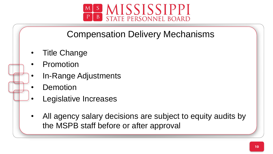

### Compensation Delivery Mechanisms

- Title Change
- **Promotion**
- In-Range Adjustments
- **Demotion**
- Legislative Increases
- All agency salary decisions are subject to equity audits by the MSPB staff before or after approval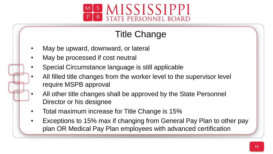

# Title Change

- May be upward, downward, or lateral
- May be processed if cost neutral
- Special Circumstance language is still applicable
- ç • All filled title changes from the worker level to the supervisor level require MSPB approval
- All other title changes shall be approved by the State Personnel Director or his designee
- Total maximum increase for Title Change is 15%
- Exceptions to 15% max if changing from General Pay Plan to other pay plan OR Medical Pay Plan employees with advanced certification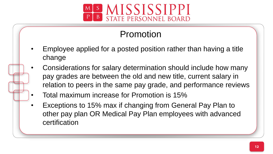

## Promotion

- Employee applied for a posted position rather than having a title change
- ç • Considerations for salary determination should include how many pay grades are between the old and new title, current salary in relation to peers in the same pay grade, and performance reviews
- Total maximum increase for Promotion is 15%
- Exceptions to 15% max if changing from General Pay Plan to other pay plan OR Medical Pay Plan employees with advanced certification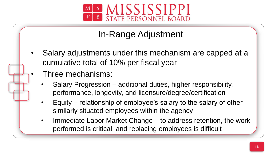

### In-Range Adjustment

- Salary adjustments under this mechanism are capped at a cumulative total of 10% per fiscal year
	- Three mechanisms:
	- l. • Salary Progression – additional duties, higher responsibility, performance, longevity, and licensure/degree/certification
	- Equity relationship of employee's salary to the salary of other similarly situated employees within the agency
	- Immediate Labor Market Change to address retention, the work performed is critical, and replacing employees is difficult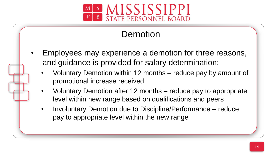

## Demotion

- Employees may experience a demotion for three reasons, and guidance is provided for salary determination:
	- promotional increase received • Voluntary Demotion within 12 months – reduce pay by amount of
	- Voluntary Demotion after 12 months reduce pay to appropriate level within new range based on qualifications and peers
	- Involuntary Demotion due to Discipline/Performance reduce pay to appropriate level within the new range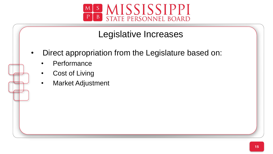

#### Legislative Increases

- Direct appropriation from the Legislature based on:
	- **Performance**
	- **Cost of Living**
	- Market Adjustment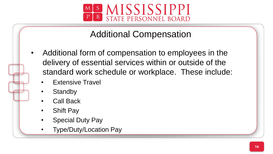

Additional Compensation

- Additional form of compensation to employees in the delivery of essential services within or outside of the standard work schedule or workplace. These include:
	- **Extensive Travel**
	- **Standby**
	- Call Back
	- **Shift Pay**
	- **Special Duty Pay**
	- Type/Duty/Location Pay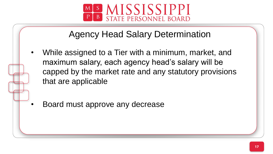

## Agency Head Salary Determination

- While assigned to a Tier with a minimum, market, and maximum salary, each agency head's salary will be capped by the market rate and any statutory provisions that are applicable
- Board must approve any decrease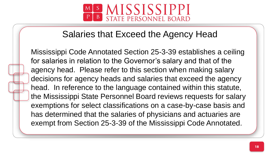

#### Salaries that Exceed the Agency Head

decisions for agency heads and salaries that exceed the agency Mississippi Code Annotated Section 25-3-39 establishes a ceiling for salaries in relation to the Governor's salary and that of the agency head. Please refer to this section when making salary head. In reference to the language contained within this statute, the Mississippi State Personnel Board reviews requests for salary exemptions for select classifications on a case-by-case basis and has determined that the salaries of physicians and actuaries are exempt from Section 25-3-39 of the Mississippi Code Annotated.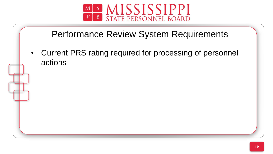

#### Performance Review System Requirements

• Current PRS rating required for processing of personnel actions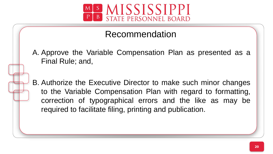

Recommendation

A. Approve the Variable Compensation Plan as presented as a Final Rule; and,

B. Authorize the Executive Director to make such minor changes to the Variable Compensation Plan with regard to formatting, correction of typographical errors and the like as may be required to facilitate filing, printing and publication.